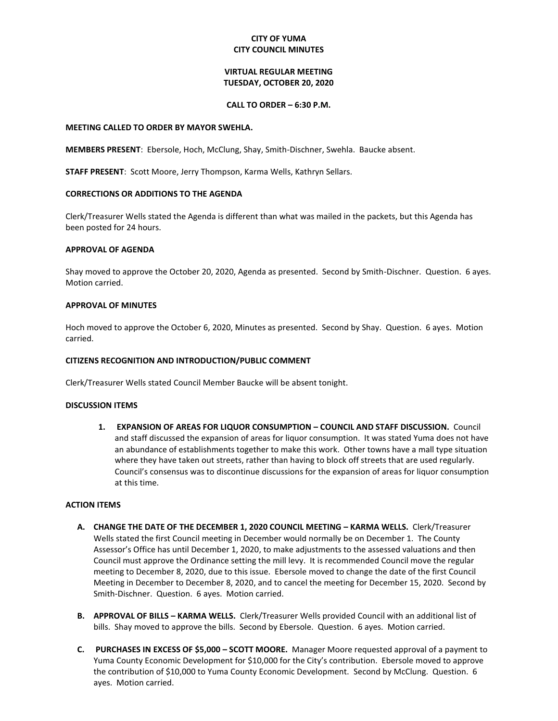# **CITY OF YUMA CITY COUNCIL MINUTES**

# **VIRTUAL REGULAR MEETING TUESDAY, OCTOBER 20, 2020**

### **CALL TO ORDER – 6:30 P.M.**

#### **MEETING CALLED TO ORDER BY MAYOR SWEHLA.**

**MEMBERS PRESENT**: Ebersole, Hoch, McClung, Shay, Smith-Dischner, Swehla. Baucke absent.

**STAFF PRESENT**: Scott Moore, Jerry Thompson, Karma Wells, Kathryn Sellars.

### **CORRECTIONS OR ADDITIONS TO THE AGENDA**

Clerk/Treasurer Wells stated the Agenda is different than what was mailed in the packets, but this Agenda has been posted for 24 hours.

### **APPROVAL OF AGENDA**

Shay moved to approve the October 20, 2020, Agenda as presented. Second by Smith-Dischner. Question. 6 ayes. Motion carried.

#### **APPROVAL OF MINUTES**

Hoch moved to approve the October 6, 2020, Minutes as presented. Second by Shay. Question. 6 ayes. Motion carried.

### **CITIZENS RECOGNITION AND INTRODUCTION/PUBLIC COMMENT**

Clerk/Treasurer Wells stated Council Member Baucke will be absent tonight.

### **DISCUSSION ITEMS**

**1. EXPANSION OF AREAS FOR LIQUOR CONSUMPTION – COUNCIL AND STAFF DISCUSSION.** Council and staff discussed the expansion of areas for liquor consumption. It was stated Yuma does not have an abundance of establishments together to make this work. Other towns have a mall type situation where they have taken out streets, rather than having to block off streets that are used regularly. Council's consensus was to discontinue discussions for the expansion of areas for liquor consumption at this time.

### **ACTION ITEMS**

- **A. CHANGE THE DATE OF THE DECEMBER 1, 2020 COUNCIL MEETING – KARMA WELLS.** Clerk/Treasurer Wells stated the first Council meeting in December would normally be on December 1. The County Assessor's Office has until December 1, 2020, to make adjustments to the assessed valuations and then Council must approve the Ordinance setting the mill levy. It is recommended Council move the regular meeting to December 8, 2020, due to this issue. Ebersole moved to change the date of the first Council Meeting in December to December 8, 2020, and to cancel the meeting for December 15, 2020. Second by Smith-Dischner. Question. 6 ayes. Motion carried.
- **B. APPROVAL OF BILLS – KARMA WELLS.** Clerk/Treasurer Wells provided Council with an additional list of bills. Shay moved to approve the bills. Second by Ebersole. Question. 6 ayes. Motion carried.
- **C. PURCHASES IN EXCESS OF \$5,000 – SCOTT MOORE.** Manager Moore requested approval of a payment to Yuma County Economic Development for \$10,000 for the City's contribution. Ebersole moved to approve the contribution of \$10,000 to Yuma County Economic Development. Second by McClung. Question. 6 ayes. Motion carried.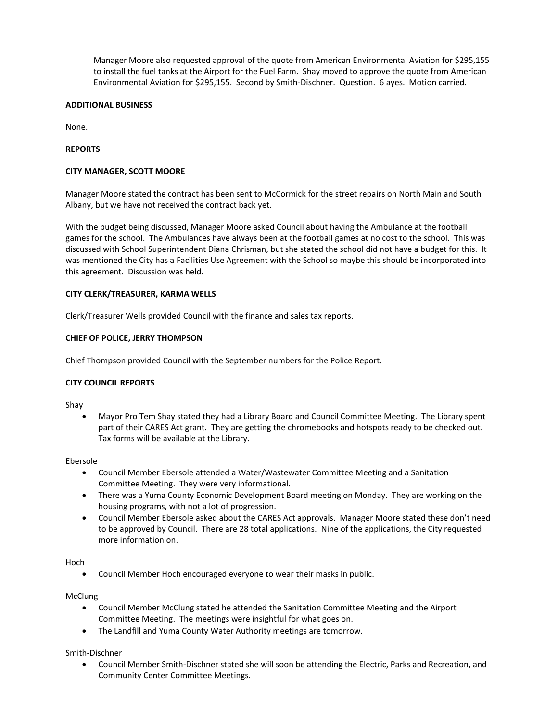Manager Moore also requested approval of the quote from American Environmental Aviation for \$295,155 to install the fuel tanks at the Airport for the Fuel Farm. Shay moved to approve the quote from American Environmental Aviation for \$295,155. Second by Smith-Dischner. Question. 6 ayes. Motion carried.

## **ADDITIONAL BUSINESS**

None.

## **REPORTS**

## **CITY MANAGER, SCOTT MOORE**

Manager Moore stated the contract has been sent to McCormick for the street repairs on North Main and South Albany, but we have not received the contract back yet.

With the budget being discussed, Manager Moore asked Council about having the Ambulance at the football games for the school. The Ambulances have always been at the football games at no cost to the school. This was discussed with School Superintendent Diana Chrisman, but she stated the school did not have a budget for this. It was mentioned the City has a Facilities Use Agreement with the School so maybe this should be incorporated into this agreement. Discussion was held.

### **CITY CLERK/TREASURER, KARMA WELLS**

Clerk/Treasurer Wells provided Council with the finance and sales tax reports.

## **CHIEF OF POLICE, JERRY THOMPSON**

Chief Thompson provided Council with the September numbers for the Police Report.

### **CITY COUNCIL REPORTS**

Shay

 Mayor Pro Tem Shay stated they had a Library Board and Council Committee Meeting. The Library spent part of their CARES Act grant. They are getting the chromebooks and hotspots ready to be checked out. Tax forms will be available at the Library.

### Ebersole

- Council Member Ebersole attended a Water/Wastewater Committee Meeting and a Sanitation Committee Meeting. They were very informational.
- There was a Yuma County Economic Development Board meeting on Monday. They are working on the housing programs, with not a lot of progression.
- Council Member Ebersole asked about the CARES Act approvals. Manager Moore stated these don't need to be approved by Council. There are 28 total applications. Nine of the applications, the City requested more information on.

Hoch

Council Member Hoch encouraged everyone to wear their masks in public.

McClung

- Council Member McClung stated he attended the Sanitation Committee Meeting and the Airport Committee Meeting. The meetings were insightful for what goes on.
- The Landfill and Yuma County Water Authority meetings are tomorrow.

Smith-Dischner

 Council Member Smith-Dischner stated she will soon be attending the Electric, Parks and Recreation, and Community Center Committee Meetings.